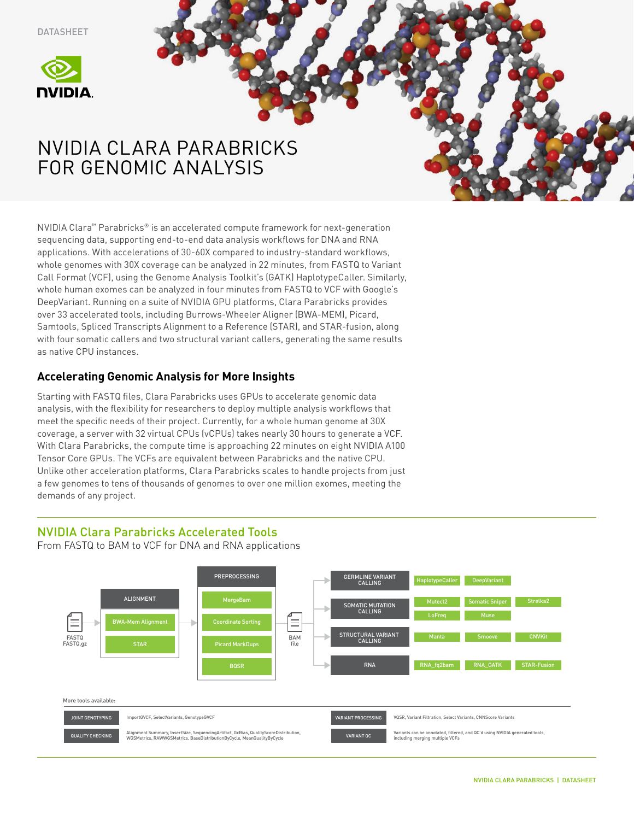DATASHEET



# NVIDIA CLARA PARABRICKS FOR GENOMIC ANALYSIS

NVIDIA Clara™ Parabricks® is an accelerated compute framework for next-generation sequencing data, supporting end-to-end data analysis workflows for DNA and RNA applications. With accelerations of 30-60X compared to industry-standard workflows, whole genomes with 30X coverage can be analyzed in 22 minutes, from FASTQ to Variant Call Format (VCF), using the Genome Analysis Toolkit's (GATK) HaplotypeCaller. Similarly, whole human exomes can be analyzed in four minutes from FASTQ to VCF with Google's DeepVariant. Running on a suite of NVIDIA GPU platforms, Clara Parabricks provides over 33 accelerated tools, including Burrows-Wheeler Aligner (BWA-MEM), Picard, Samtools, Spliced Transcripts Alignment to a Reference (STAR), and STAR-fusion, along with four somatic callers and two structural variant callers, generating the same results as native CPU instances.

## **Accelerating Genomic Analysis for More Insights**

Starting with FASTQ files, Clara Parabricks uses GPUs to accelerate genomic data analysis, with the flexibility for researchers to deploy multiple analysis workflows that meet the specific needs of their project. Currently, for a whole human genome at 30X coverage, a server with 32 virtual CPUs (vCPUs) takes nearly 30 hours to generate a VCF. With Clara Parabricks, the compute time is approaching 22 minutes on eight NVIDIA A100 Tensor Core GPUs. The VCFs are equivalent between Parabricks and the native CPU. Unlike other acceleration platforms, Clara Parabricks scales to handle projects from just a few genomes to tens of thousands of genomes to over one million exomes, meeting the demands of any project.

## NVIDIA Clara Parabricks Accelerated Tools

From FASTQ to BAM to VCF for DNA and RNA applications